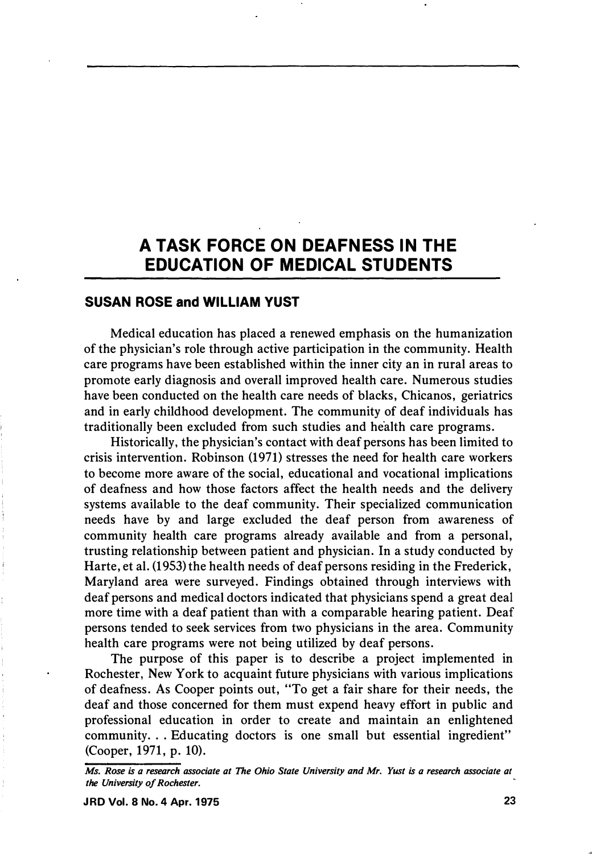# **A TASK FORCE ON DEAFNESS IN THE EDUCATION OF MEDICAL STUDENTS**

## **SUSAN ROSE and WILLIAM YUST**

**Medical education has placed a renewed emphasis on the humanization of the physician's role through active participation in the community. Health care programs have been established within the inner city an in rural areas to promote early diagnosis and overall improved health care. Numerous studies have been conducted on the health care needs of blacks, Chicanos, geriatrics and in early childhood development. The community of deaf individuals has traditionally been excluded from such studies and health care programs.** 

**Historically, the physician's contact with deaf persons has been limited to crisis intervention. Robinson (1971) stresses the need for health care workers to become more aware of the social, educational and vocational implications of deafness and how those factors affect the health needs and the delivery systems available to the deaf community. Their specialized communication needs have by and large excluded the deaf person from awareness of community health care programs already available and from a personal, trusting relationship between patient and physician. In a study conducted by Harte, et al. (1953) the health needs of deaf persons residing in the Frederick, Maryland area were surveyed. Findings obtained through interviews with deaf persons and medical doctors indicated that physicians spend a great deal more time with a deaf patient than with a comparable hearing patient. Deaf persons tended to seek services from two physicians in the area. Community health care programs were not being utilized by deaf persons.** 

**The purpose of this paper is to describe a project implemented in Rochester, New York to acquaint future physicians with various implications of deafness. As Cooper points out, "To get a fair share for their needs, the deaf and those concerned for them must expend heavy effort in public and professional education in order to create and maintain an enlightened community ... Educating doctors is one small but essential ingredient" (Cooper, 1971, p. 10).** 

*Ms. Rose is a research associate at The Ohio State University and Mr. Yust is a research associate at the University of Rochester.*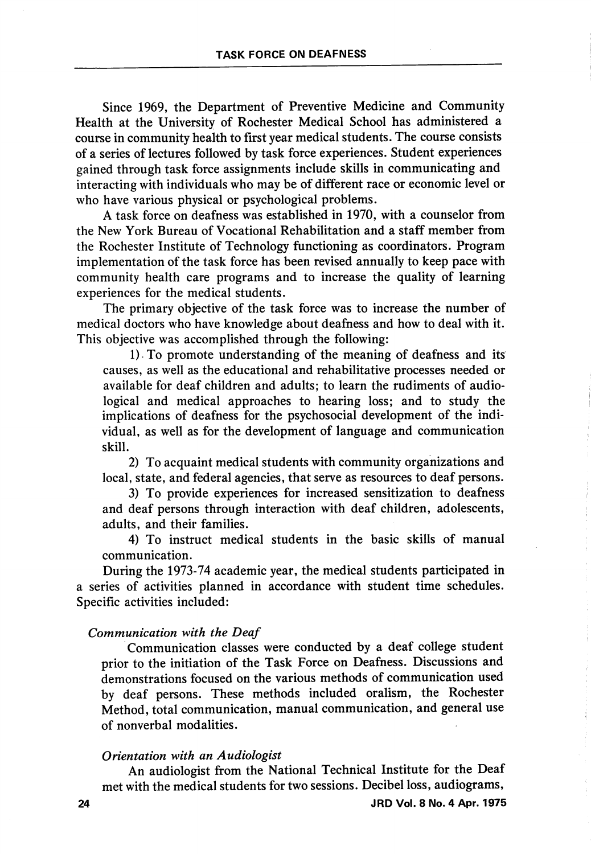Since 1969, the Department of Preventive Medicine and Community Health at the University of Rochester Medical School has administered a course in community health to first year medical students. The course consists of a series of lectures followed by task force experiences. Student experiences gained through task force assignments include skills in communicating and interacting with individuals who may be of different race or economic level or who have various physical or psychological problems.

A task force on deafness was established in 1970, with a counselor from the New York Bureau of Vocational Rehabilitation and a staff member from the Rochester Institute of Technology functioning as coordinators. Program implementation of the task force has been revised annually to keep pace with community health care programs and to increase the quality of learning experiences for the medical students.

The primary objective of the task force was to increase the number of medical doctors who have knowledge about deafness and how to deal with it. This objective was accomplished through the following:

1) To promote understanding of the meaning of deafness and its causes, as well as the educational and rehabilitative processes needed or available for deaf children and adults; to learn the rudiments of audiological and medical approaches to hearing loss; and to study the implications of deafness for the psychosocial development of the indi vidual, as well as for the development of language and communication skill.

2) To acquaint medical students with community organizations and local, state, and federal agencies, that serve as resources to deaf persons.

3) To provide experiences for increased sensitization to deafness and deaf persons through interaction with deaf children, adolescents, adults, and their families.

4) To instruct medical students in the basic skills of manual communication.

During the 1973-74 academic year, the medical students participated in a series of activities planned in accordance with student time schedules. Specific activities included:

### Communication with the Deaf

Communication classes were conducted by a deaf college student prior to the initiation of the Task Force on Deafness. Discussions and demonstrations focused on the various methods of communication used by deaf persons. These methods included oralism, the Rochester Method, total communication, manual communication, and general use of nonverbal modalities.

### Orientation with an Audiologist

An audiologist from the National Technical Institute for the Deaf met with the medical students for two sessions. Decibel loss, audiograms,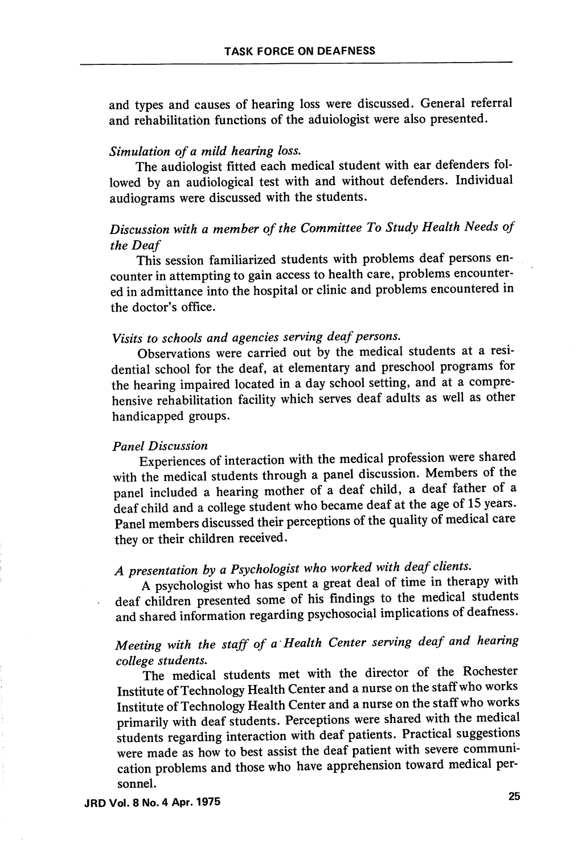and types and causes of hearing loss were discussed. General referral and rehabilitation functions of the aduiologist were also presented.

### Simulation of a mild hearing loss.

The audiologist fitted each medical student with ear defenders fol lowed by an audiological test with and without defenders. Individual audiograms were discussed with the students.

## Discussion with a member of the Committee To Study Health Needs of the Deaf

This session familiarized students with problems deaf persons en counter in attempting to gain access to health care, problems encounter ed in admittance into the hospital or clinic and problems encountered in the doctor's office.

## Visits to schools and agencies serving deaf persons.

Observations were carried out by the medical students at a resi dential school for the deaf, at elementary and preschool programs for the hearing impaired located in a day school setting, and at a compre hensive rehabilitation facility which serves deaf adults as well as other handicapped groups.

## Panel Discussion

Experiences of interaction with the medical profession were shared with the medical students through a panel discussion. Members of the panel included a hearing mother of a deaf child, a deaf father of a deaf child and a college student who became deaf at the age of 15 years. Panel members discussed their perceptions of the quality of medical care they or their children received.

# A presentation by a Psychologist who worked with deaf clients.

A psychologist who has spent a great deal of time in therapy with deaf children presented some of his findings to the medical students and shared information regarding psychosocial implications of deafness.

## Meeting with the staff of a Health Center serving deaf and hearing college students.

The medical students met with the director of the Rochester Institute of Technology Health Center and a nurse on the staff who works Institute of Technology Health Center and a nurse on the staff who works primarily with deaf students. Perceptions were shared with the medical students regarding interaction with deaf patients. Practical suggestions were made as how to best assist the deaf patient with severe communi cation problems and those who have apprehension toward medical per sonnel.